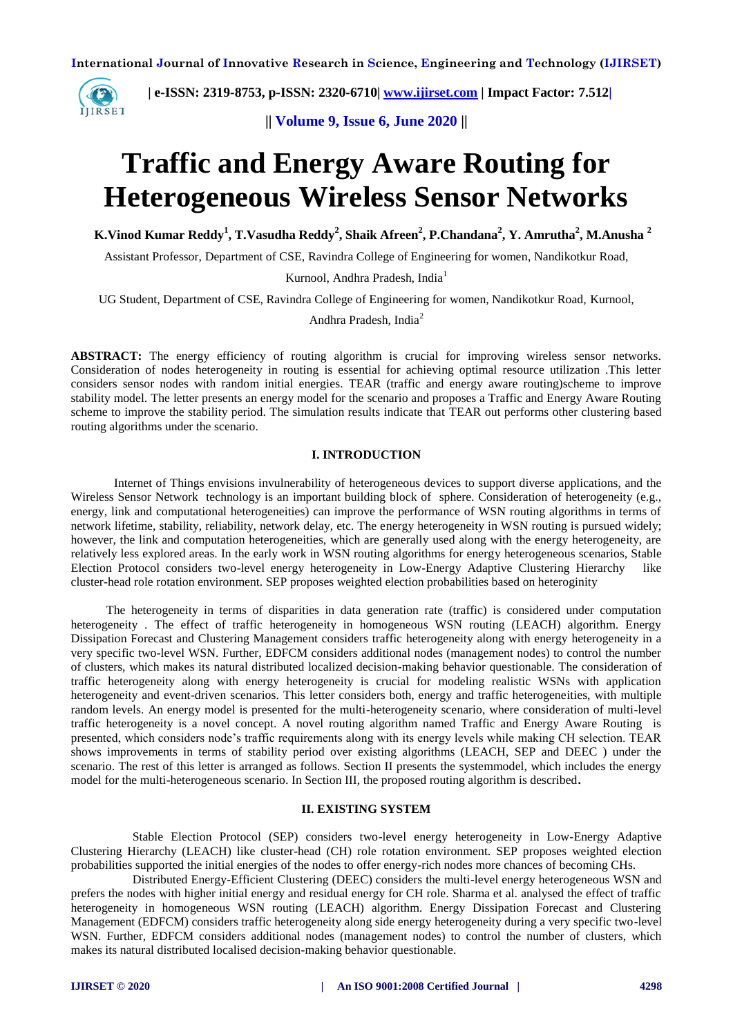**International Journal of Innovative Research in Science, Engineering and Technology (IJIRSET)**



 **| e-ISSN: 2319-8753, p-ISSN: 2320-6710| [www.ijirset.com](http://www.ijirset.com/) | Impact Factor: 7.512|**

**|| Volume 9, Issue 6, June 2020 ||** 

# **Traffic and Energy Aware Routing for Heterogeneous Wireless Sensor Networks**

**K.Vinod Kumar Reddy<sup>1</sup> , T.Vasudha Reddy<sup>2</sup> , Shaik Afreen<sup>2</sup> , P.Chandana<sup>2</sup> , Y. Amrutha<sup>2</sup> , M.Anusha <sup>2</sup>**

Assistant Professor, Department of CSE, Ravindra College of Engineering for women, Nandikotkur Road,

Kurnool, Andhra Pradesh, India<sup>1</sup>

UG Student, Department of CSE, Ravindra College of Engineering for women, Nandikotkur Road, Kurnool,

Andhra Pradesh, India<sup>2</sup>

**ABSTRACT:** The energy efficiency of routing algorithm is crucial for improving wireless sensor networks. Consideration of nodes heterogeneity in routing is essential for achieving optimal resource utilization .This letter considers sensor nodes with random initial energies. TEAR (traffic and energy aware routing)scheme to improve stability model. The letter presents an energy model for the scenario and proposes a Traffic and Energy Aware Routing scheme to improve the stability period. The simulation results indicate that TEAR out performs other clustering based routing algorithms under the scenario.

#### **I. INTRODUCTION**

Internet of Things envisions invulnerability of heterogeneous devices to support diverse applications, and the Wireless Sensor Network technology is an important building block of sphere. Consideration of heterogeneity (e.g., energy, link and computational heterogeneities) can improve the performance of WSN routing algorithms in terms of network lifetime, stability, reliability, network delay, etc. The energy heterogeneity in WSN routing is pursued widely; however, the link and computation heterogeneities, which are generally used along with the energy heterogeneity, are relatively less explored areas. In the early work in WSN routing algorithms for energy heterogeneous scenarios, Stable Election Protocol considers two-level energy heterogeneity in Low-Energy Adaptive Clustering Hierarchy like cluster-head role rotation environment. SEP proposes weighted election probabilities based on heteroginity

 The heterogeneity in terms of disparities in data generation rate (traffic) is considered under computation heterogeneity . The effect of traffic heterogeneity in homogeneous WSN routing (LEACH) algorithm. Energy Dissipation Forecast and Clustering Management considers traffic heterogeneity along with energy heterogeneity in a very specific two-level WSN. Further, EDFCM considers additional nodes (management nodes) to control the number of clusters, which makes its natural distributed localized decision-making behavior questionable. The consideration of traffic heterogeneity along with energy heterogeneity is crucial for modeling realistic WSNs with application heterogeneity and event-driven scenarios. This letter considers both, energy and traffic heterogeneities, with multiple random levels. An energy model is presented for the multi-heterogeneity scenario, where consideration of multi-level traffic heterogeneity is a novel concept. A novel routing algorithm named Traffic and Energy Aware Routing is presented, which considers node's traffic requirements along with its energy levels while making CH selection. TEAR shows improvements in terms of stability period over existing algorithms (LEACH, SEP and DEEC ) under the scenario. The rest of this letter is arranged as follows. Section II presents the systemmodel, which includes the energy model for the multi-heterogeneous scenario. In Section III, the proposed routing algorithm is described**.**

### **II. EXISTING SYSTEM**

Stable Election Protocol (SEP) considers two-level energy heterogeneity in Low-Energy Adaptive Clustering Hierarchy (LEACH) like cluster-head (CH) role rotation environment. SEP proposes weighted election probabilities supported the initial energies of the nodes to offer energy-rich nodes more chances of becoming CHs.

Distributed Energy-Efficient Clustering (DEEC) considers the multi-level energy heterogeneous WSN and prefers the nodes with higher initial energy and residual energy for CH role. Sharma et al. analysed the effect of traffic heterogeneity in homogeneous WSN routing (LEACH) algorithm. Energy Dissipation Forecast and Clustering Management (EDFCM) considers traffic heterogeneity along side energy heterogeneity during a very specific two-level WSN. Further, EDFCM considers additional nodes (management nodes) to control the number of clusters, which makes its natural distributed localised decision-making behavior questionable.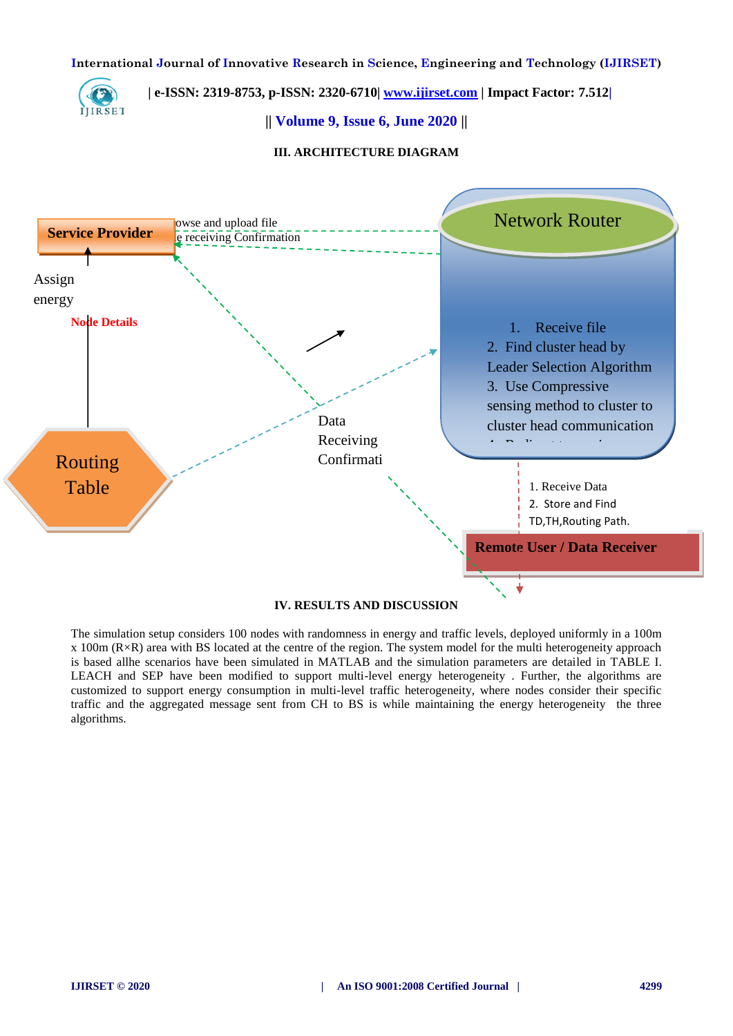**International Journal of Innovative Research in Science, Engineering and Technology (IJIRSET)**



 **| e-ISSN: 2319-8753, p-ISSN: 2320-6710| [www.ijirset.com](http://www.ijirset.com/) | Impact Factor: 7.512|**

**|| Volume 9, Issue 6, June 2020 ||** 

**III. ARCHITECTURE DIAGRAM**



## **IV. RESULTS AND DISCUSSION**

The simulation setup considers 100 nodes with randomness in energy and traffic levels, deployed uniformly in a 100m x 100m (R×R) area with BS located at the centre of the region. The system model for the multi heterogeneity approach is based allhe scenarios have been simulated in MATLAB and the simulation parameters are detailed in TABLE I. LEACH and SEP have been modified to support multi-level energy heterogeneity . Further, the algorithms are customized to support energy consumption in multi-level traffic heterogeneity, where nodes consider their specific traffic and the aggregated message sent from CH to BS is while maintaining the energy heterogeneity the three algorithms.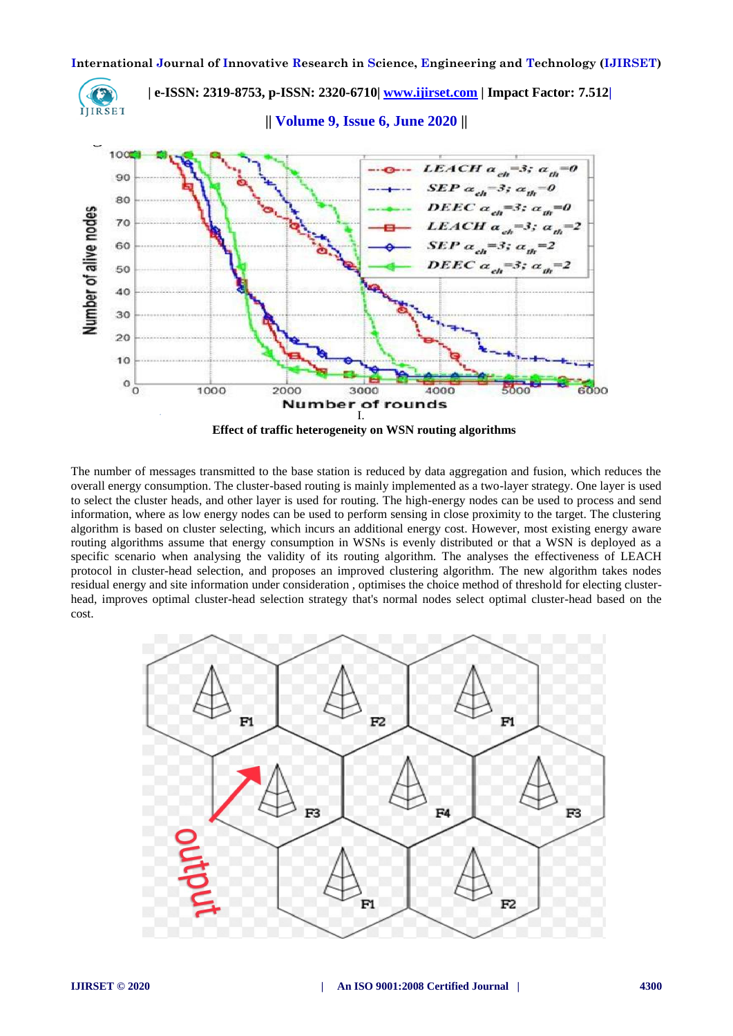

The number of messages transmitted to the base station is reduced by data aggregation and fusion, which reduces the overall energy consumption. The cluster-based routing is mainly implemented as a two-layer strategy. One layer is used to select the cluster heads, and other layer is used for routing. The high-energy nodes can be used to process and send information, where as low energy nodes can be used to perform sensing in close proximity to the target. The clustering algorithm is based on cluster selecting, which incurs an additional energy cost. However, most existing energy aware routing algorithms assume that energy consumption in WSNs is evenly distributed or that a WSN is deployed as a specific scenario when analysing the validity of its routing algorithm. The analyses the effectiveness of LEACH protocol in cluster-head selection, and proposes an improved clustering algorithm. The new algorithm takes nodes residual energy and site information under consideration , optimises the choice method of threshold for electing clusterhead, improves optimal cluster-head selection strategy that's normal nodes select optimal cluster-head based on the cost.